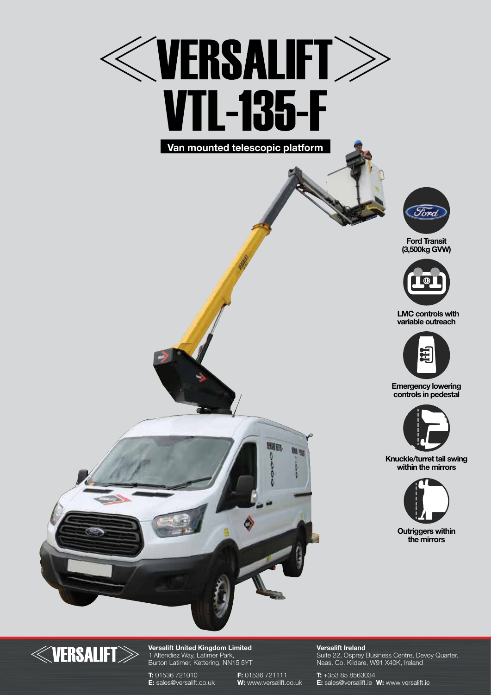

**Van mounted telescopic platform** 



**Ford Transit (3,500kg GVW)**



 **LMC controls with variable outreach**



**Emergency lowering controls in pedestal**



**Knuckle/turret tail swing within the mirrors**



**Outriggers within the mirrors**





#### **Versalift United Kingdom Limited** 1 Altendiez Way, Latimer Park, Burton Latimer, Kettering. NN15 5YT

**E:** sales@versalift.co.uk

**T:** 01536 721010<br> **E:** sales@versalift.co.uk<br> **W:** www.versalift.co.uk

**Versalift Ireland**

Suite 22, Osprey Business Centre, Devoy Quarter, Naas, Co. Kildare, W91 X40K, Ireland

**T:** +353 85 8563034 **E:** sales@versalift.ie **W:** www.versalift.ie